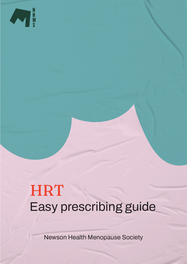

# **HRT** Easy prescribing guide

Newson Health Menopause Society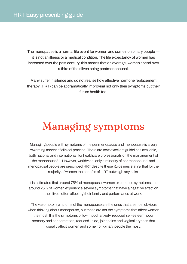The menopause is a normal life event for women and some non binary people it is not an illness or a medical condition. The life expectancy of women has increased over the past century, this means that on average, women spend over a third of their lives being postmenopausal.

Many suffer in silence and do not realise how effective hormone replacement therapy (HRT) can be at dramatically improving not only their symptoms but their future health too.

## Managing symptoms

Managing people with symptoms of the perimenopause and menopause is a very rewarding aspect of clinical practice. There are now excellent guidelines available, both national and international, for healthcare professionals on the management of the menopause<sup>1-3</sup>. However, worldwide, only a minority of perimenopausal and menopausal people are prescribed HRT despite these guidelines stating that for the majority of women the benefits of HRT outweigh any risks.

It is estimated that around 75% of menopausal women experience symptoms and around 25% of women experience severe symptoms that have a negative effect on their lives, often affecting their family and performance at work.

 The vasomotor symptoms of the menopause are the ones that are most obvious when thinking about menopause, but these are not the symptoms that affect women the most. It is the symptoms of low mood, anxiety, reduced self-esteem, poor memory and concentration, reduced libido, joint pains and vaginal dryness that usually affect women and some non-binary people the most.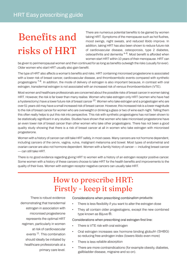## Benefits and risks of HRT

There are numerous potential benefits to be gained by women taking HRT. Symptoms of the menopause such as hot flushes, mood swings, night sweats, and reduced libido improve. In addition, taking HRT has also been shown to reduce future risk of cardiovascular disease, osteoporosis, type 2 diabetes, osteoarthritis and dementia <sup>4-6</sup>. Most benefit is afforded when women start HRT within 10 years of their menopause. HRT can

be given to perimenopausal women and then continued for as long as benefits outweigh the risks (usually for ever). Older women who start HRT usually also gain benefit.

The type of HRT also affects a woman's benefits and risks. HRT containing micronised progesterone is associated with a lower risk of breast cancer, cardiovascular disease, and thromboembolic events compared with synthetic progestogens <sup>7-8</sup>. In addition, the mode of delivery of estrogen is also important because, in contrast with oral estrogen, transdermal estrogen is not associated with an increased risk of venous thromboembolism (VTE).

Most women and healthcare professionals are concerned about the possible risks of breast cancer in women taking HRT. However, the risk is far lower than many realise. Women who take estrogen only HRT (women who have had a hysterectomy) have a lower future risk of breast cancer  $^{10}$ . Women who take estrogen and a progestogen who are over 51 years old may have a small increased risk of breast cancer. However, this increased risk is a lower magnitude to the risk of breast cancer for women who are overweight or drinking a glass or two of wine each night. Telling them this often really helps to put this risk into perspective. This risk with synthetic progestogens has not been shown to be statistically significant in any studies. Studies have shown that women who take micronised progesterone have an even lower risk of breast cancer than other women who take other progestogens. There has not been a good quality study showing that there is a risk of breast cancer at all in women who take estrogen with micronised progesterone.

Women with a history of cancer can still take HRT safely, in most cases. Many cancers are not hormone dependent, including cancers of the cervix, vagina, vulva, malignant melanoma and bowel. Most types of endometrial and ovarian cancer are also not hormone dependent. Women with a family history of cancer — including breast cancer — can still take HRT.

There is no good evidence regarding giving HRT to women with a history of an estrogen receptor positive cancer. Some women with a history of these cancers choose to take HRT for the health benefits and improvements to the quality of their lives. Women with estrogen receptor negative cancers can usually take HRT.

## How to prescribe HRT: Firstly - keep it simple

There is robust evidence demonstrating that transdermal estrogen in association with micronised progesterone represents the optimal HRT regimen, particularly in women at risk of cardiovascular events 11. This combination should ideally be initiated by healthcare professionals at a primary care level.

Considerations when prescribing combination products:

- •There is less flexibility if you want to alter the estrogen dose
- • They all contain older progestogens, except the new combined type known as Bijuve ®.

Considerations when prescribing oral estrogen first line:

- •There is VTE risk with oral estrogen
- • Oral estrogen increases sex hormone binding globulin (SHBG) so reducing free androgen index (lowers libido even more)
- •There is less reliable absorption
- There are more contraindications (for example obesity, diabetes, gallbladder disease, migraine and so on).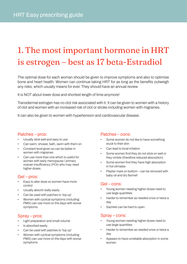## 1. The most important hormone in HRT is estrogen – best as 17 beta-Estradiol

The optimal dose for each woman should be given to improve symptoms and also to optimise bone and heart health. Women can continue taking HRT for as long as the benefits outweigh any risks, which usually means for ever. They should have an annual review.

It is NOT about lower dose and shortest length of time anymore!

Transdermal estrogen has no clot risk associated with it. It can be given to women with a history of clot and women with an increased risk of clot or stroke including women with migraines.

It can also be given to women with hypertension and cardiovascular disease.

### Patches – pros:

- Usually stick well and easy to use
- Can swim, shower, bath, swim with them on
- Constant level given so can be better in women with migraines
- Can use more than one which is useful for women with early menopause / primary ovarian insufficiency (POI) who may need higher doses.

## Gel – pros:

- Easy to alter dose so women have more control
- Usually absorb really easily
- Can be used with patches to 'top up'
- Women with cyclical symptoms (including PMS) can use more on the days with worse symptoms.

## Spray – pros:

- Light preparation and small volume
- Is absorbed easily
- Can be used with patches to 'top up'
- Women with cyclical symptoms (including PMS) can use more on the days with worse symptoms

### Patches – cons:

- Some women do not like to have something stuck to their skin
- Can lead to local irritation
- Some women find they do not stick on well or they crinkle (therefore reduced absorption)
- Some women find they have high absorption in hot climates
- Plaster mark on bottom can be removed with baby oil and dry flannel!

### Gel – cons:

- Young women needing higher doses need to use large quantities
- Harder to remember as needed once or twice a day
- Sachets can be hard to open.

### Spray – cons:

- Young women needing higher doses need to use large quantities
- Harder to remember as needed once or twice a day
- Appears to have unreliable absorption in some women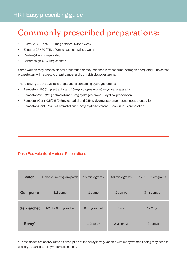## Commonly prescribed preparations:

- Evorel 25 / 50 / 75 / 100mcg patches, twice a week
- Estradot 25 / 50 / 75 / 100mcg patches, twice a week
- Oestrogel 2-4 pumps a day
- Sandrena gel 0.5 / 1mg sachets

Some women may choose an oral preparation or may not absorb transdermal estrogen adequately. The safest progestogen with respect to breast cancer and clot risk is dydrogesterone.

The following are the available preparations containing dydrogestodene:

- Femoston 1/10 (1mg estradiol and 10mg dydrogesterone) cyclical preparation
- Femoston 2/10 (2mg estradiol and 10mg dydrogesterone) cyclical preparation
- Femoston Conti 0.5/2.5 (0.5mg estradiol and 2.5mg dydrogesterone) continuous preparation
- Femoston Conti 1/5 (1mg estradiol and 2.5mg dydrogesterone) continuous preparation

### Dose Equivalents of Various Preparations

| <b>Patch</b>       | Half a 25 microgram patch | 25 micrograms | 50 micrograms   | 75 - 100 micrograms |
|--------------------|---------------------------|---------------|-----------------|---------------------|
| Gel - pump         | $1/2$ pump                | 1 pump        | 2 pumps         | 3 - 4 pumps         |
| Gel-sachet         | $1/2$ of a 0.5mg sachet   | 0.5mg sachet  | 1 <sub>mg</sub> | $1 - 2mg$           |
| Spray <sup>*</sup> |                           | 1-2 spray     | 2-3 sprays      | >3 sprays           |

\* These doses are approximate as absorption of the spray is very variable with many women finding they need to use large quantities for symptomatic benefit.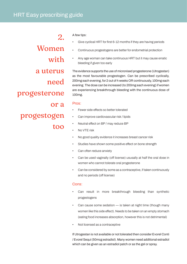2. Women with a uterus need

## progesterone

or a

progestogen

too

- A few tips:
- Give cyclical HRT for first 6-12 months if they are having periods
- Continuous progestogens are better for endometrial protection
- Any age woman can take continuous HRT but it may cause erratic bleeding if given too early

The evidence supports the use of micronised progesterone (Utrogestan) as the most favourable progestogen. Can be prescribed cyclically, 200mg each evening, for 2 out of 4 weeks OR continuously, 100mg each evening. The dose can be increased (to 200mg each evening) if women are experiencing breakthrough bleeding with the continuous dose of 100mg.

### Pros:

- Fewer side effects so better tolerated
- Can improve cardiovascular risk / lipids
- Neutral effect on BP / may reduce BP
- No VTE risk
- No good quality evidence it increases breast cancer risk
- Studies have shown some positive effect on bone strength
- Can often reduce anxiety
- Can be used vaginally (off license) ususally at half the oral dose in women who cannot tolerate oral progesterone
- Can be considered by some as a contraceptive, if taken continuously and no periods (off license)

### Cons:

- Can result in more breakthrough bleeding than synthetic progestogens
- Can cause some sedation is taken at night time (though many women like this side effect). Needs to be taken on an empty stomach (eating food increases absorption, however this is not detrimental)
- Not licensed as a contraceptive

If Utrogestan is not available or not tolerated then consider Evorel Conti / Evorel Sequi (50mcg estradiol). Many women need additional estradiol which can be given as an estradiol patch or as the gel or spray.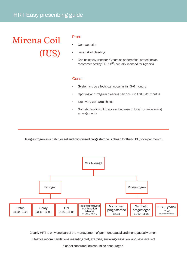## HRT Easy prescribing guide

## Mirena Coil (IUS)

#### Pros:

- **Contraception**
- Less risk of bleeding
- Can be safely used for 5 years as endometrial protection as recommended by  $FSRH^{12}$  (actually licensed for 4 years)

#### Cons:

- Systemic side effects can occur in first 3-6 months
- Spotting and irregular bleeding can occur in first 3-12 months
- Not every woman's choice
- Sometimes difficult to access because of local commissioning arrangements

Using estrogen as a patch or gel and micronised progesterone is cheap for the NHS (price per month):



Clearly HRT is only one part of the management of perimenopausal and menopausal women.

Lifestyle recommendations regarding diet, exercise, smoking cessation, and safe levels of

alcohol consumption should be encouraged.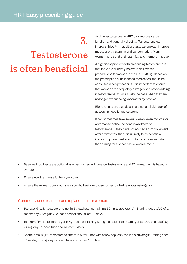## 3.

## Testosterone is often beneficial

Adding testosterone to HRT can improve sexual function and general wellbeing. Testosterone can improve libido 13. In addition, testosterone can improve mood, energy, stamina and concentration. Many women notice that their brain fog and memory improve.

A significant problem with prescribing testosterone is that there are currently no available licensed preparations for women in the UK. GMC guidance on the prescription of unlicensed medication should be consulted when prescribing. It is important to ensure that women are adequately estrogenised before adding in testosterone; this is usually the case when they are no longer experiencing vasomotor symptoms.

Blood results are a guide and are not a reliable way of assessing need for testosterone.

It can sometimes take several weeks, even months for a woman to notice the beneficial effects of testosterone. If they have not noticed an improvement after six months, then it is unlikely to be beneficial. Clinical improvement in symptoms is more important than aiming for a specific level on treatment.

- Baseline blood tests are optional as most women will have low testosterone and FAI treatment is based on symptoms
- Ensure no other cause for her symptoms
- Ensure the woman does not have a specific treatable cause for her low FAI (e.g. oral estrogens)

### Commonly used testosterone replacement for women:

- Testogel ® (1% testosterone gel in 5g sachets, containing 50mg testosterone): Starting dose 1/10 of a sachet/day = 5mg/day i.e. each sachet should last 10 days.
- Testim ® (1% testosterone gel in 5g tubes, containing 50mg testosterone): Starting dose 1/10 of a tube/day = 5mg/day i.e. each tube should last 10 days.
- AndroFeme ® (1% testosterone cream in 50ml tubes with screw cap, only available privately): Starting dose 0.5ml/day = 5mg /day i.e. each tube should last 100 days.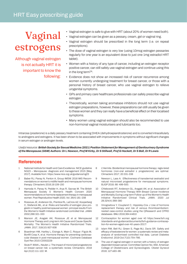## Vaginal estrogens

Although vaginal estrogen is not actually HRT it is important to know the following:

- Vaginal estrogen is safe to give with HRT (about 20% of women need both).
- Vaginal estrogen can be given as a pessary, cream, gel or vaginal ring.
- Vaginal estrogen should be prescribed in the long term (i.e. on repeat prescriptions).
- The dose of vaginal estrogen is very low (using 10mcg estrogen pessaries regularly for one year is an equivalent dose to just one 1mg estradiol HRT tablet).
- Women with a history of any type of cancer, including an estrogen receptor positive cancer, can still safely use vaginal estrogen and continue using this in the long term $14$ .
- Evidence does not show an increased risk of cancer recurrence among women currently undergoing treatment for breast cancer, or those with a personal history of breast cancer, who use vaginal estrogen to relieve urogenital symptoms.
- GPs and primary care healthcare professionals can safely prescribe vaginal estrogen.
- Theoretically, women taking aromatase inhibitors should not use vaginal estrogen preparations, however, these preparations can still usually be given to these women and they can really have a beneficial effect on their localised symptoms.
- Many women using vaginal estrogen should also be recommended to use non-hormonal vaginal moisturisers and lubricants too.

Intrarosa (prasterone) is a daily pessary treatment containing DHEA (dehydroepiandrosterone) and is converted intracellularly to androgens and estrogens. It has been shown to be associated with improvements in symptoms without significant changes in serum estrogen or androgen levels.

*Useful resource: British Society for Sexual Medicine (2021) Position Statement for Management of Genitourinary Syndrome of the Menopause (GSM) Authors: Dr L Newson, Prof M Kirby, Dr S Stillwell, Prof G Hackett, Dr S Ball, Dr R Lewis*

### **Referenc[es](http://www.bssm.org.uk/wp-content/uploads/2021/03/GSM-BSSM.pdf)**

- 1 [National Institute for Health and Care Excellence. NICE guideline](http://www.bssm.org.uk/wp-content/uploads/2021/03/GSM-BSSM.pdf) NG23 – Menopause: diagnosis and management 2015 [May 2017]. Available from: https://www.nice.org.uk/guidance/ng23
- 2 Baber RJ, Panay N, Fenton A, Group IMSW. 2016 IMS Recommendations on women's midlife health and menopause hormone therapy. Climacteric 2016;19:109-150
- 3 Hamoda H, Panay N, Pedder H, Arya R, Savvas M. The British Menopause Society & Women's Health Concern 2020 recommendations on hormone replacement therapy in menopausal women. Post Reproductive Health 2020, Vol. 26(4) 181–208
- 4 Rossouw JE, Anderson GL, Prentice RL, LaCroix AZ, Kooperberg C, Stefanick ML, et al. Risks and benefits of estrogen plus progestin in healthy postmenopausal women: principal results From the Women's Health Initiative randomized controlled trial. JAMA 2002;288:321-333
- 5 Manson JE, Aragaki AK, Rossouw JE et al. Menopausal Hormone Therapy and Long-term All-Cause and Cause-Specific Mortality: The Women's Health Initiative Randomized Trials. JAMA. 2017; 318(10):927-938
- 6 Boardman HM, Hartley L, Eisinga A, Main C, Roque i Figuls M, Bonfill Cosp X, et al. Hormone therapy for preventing cardiovascular disease in post-menopausal women. Cochrane Database Syst Rev 2015:CD002229
- 7 Stute P, Wildt L, Neulen J. The impact of micronized progesterone on breast cancer risk: a systematic review. Climacteric. 2018 Apr;21(2):111-122. M.
- 8 L'Hermite. Bioidentical menopausal hormone therapy: regis-tered hormones (non-oral estradiol ± progesterone) are optimal. Climacteric 2017; 20:331-338
- 9 Newson L, Lass A. Effectiveness of transdermal oestradiol and natural micronised progesterone for menopausal symptoms. BJGP 2018; 68: 499-500.
- 10 Chlebowski RT, Anderson GL, Aragaki AK, er al. Association of Menopausal Hormone Therapy With Breast Cancer Incidence and Mortality During Long-term Follow-up of the Women's Health Initiative Randomized Clinical Trials. JAMA. 2020 Jul 28;324(4):369-380
- 11 Vinogradova Y, Coupland C, Hippisley-Cox J Use of hormone replacement therapy and risk of venous thromboembolism: nested case-control studies using the QResearch and CPRD databases. BMJ 2019;364:k4810
- 12 Contraception for women aged over 40 https://www.fsrh.org /standards-and-guidance/documents/fsrh-guidance-contraception-for-women-aged-over-40-years-2017/
- 13 Islam RM, Bell RJ, Green S, Page MJ, Davis SR. Safety and efficacy of testosterone for women: a systematic review and metaanalysis of randomised controlled trial data. Lancet Diabetes Endocrinol. 2019 Oct;7(10):754-766.
- 14 The use of vaginal estrogen in women with a history of estrogen dependent breast cancer. Committee Opinion No. 659. American College of Obstetricians and Gynecologists. Obstet Gynecol 2016; 127:e93–96.